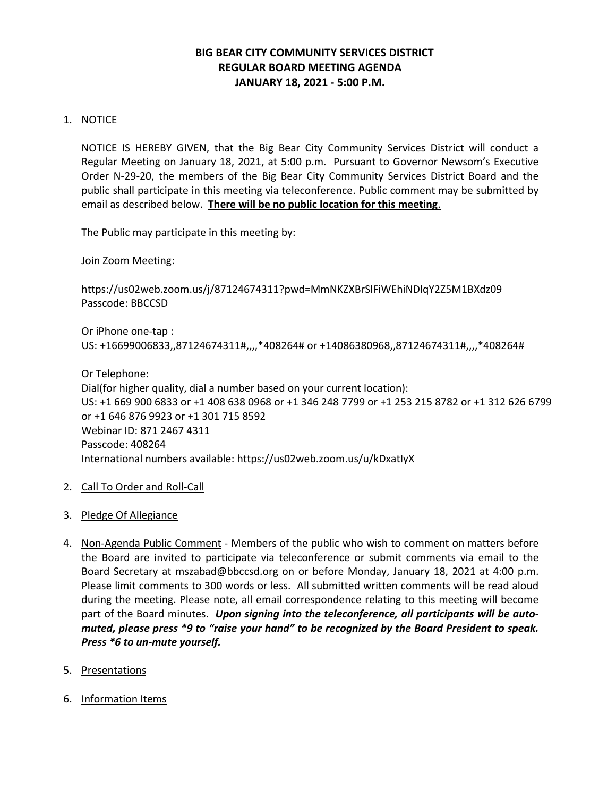# **BIG BEAR CITY COMMUNITY SERVICES DISTRICT REGULAR BOARD MEETING AGENDA JANUARY 18, 2021 - 5:00 P.M.**

# 1. NOTICE

NOTICE IS HEREBY GIVEN, that the Big Bear City Community Services District will conduct a Regular Meeting on January 18, 2021, at 5:00 p.m. Pursuant to Governor Newsom's Executive Order N-29-20, the members of the Big Bear City Community Services District Board and the public shall participate in this meeting via teleconference. Public comment may be submitted by email as described below. **There will be no public location for this meeting**.

The Public may participate in this meeting by:

Join Zoom Meeting:

<https://us02web.zoom.us/j/87124674311?pwd=MmNKZXBrSlFiWEhiNDlqY2Z5M1BXdz09> Passcode: BBCCSD

Or iPhone one-tap : US: +16699006833,,87124674311#,,,,\*408264# or +14086380968,,87124674311#,,,,\*408264#

Or Telephone: Dial(for higher quality, dial a number based on your current location): US: +1 669 900 6833 or +1 408 638 0968 or +1 346 248 7799 or +1 253 215 8782 or +1 312 626 6799 or +1 646 876 9923 or +1 301 715 8592 Webinar ID: 871 2467 4311 Passcode: 408264 International numbers available[: https://us02web.zoom.us/u/kDxatIyX](https://us02web.zoom.us/u/kDxatIyX)

## 2. Call To Order and Roll-Call

- 3. Pledge Of Allegiance
- 4. Non-Agenda Public Comment Members of the public who wish to comment on matters before the Board are invited to participate via teleconference or submit comments via email to the Board Secretary at mszabad@bbccsd.org on or before Monday, January 18, 2021 at 4:00 p.m. Please limit comments to 300 words or less. All submitted written comments will be read aloud during the meeting. Please note, all email correspondence relating to this meeting will become part of the Board minutes. *Upon signing into the teleconference, all participants will be automuted, please press \*9 to "raise your hand" to be recognized by the Board President to speak. Press \*6 to un-mute yourself.*
- 5. Presentations
- 6. Information Items